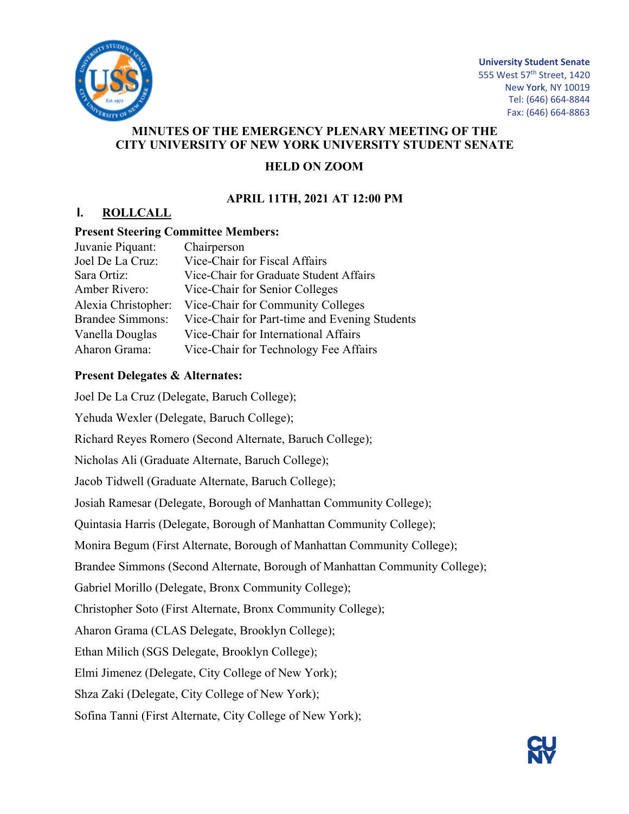

**University Student Senate** 555 West 57<sup>th</sup> Street, 1420 New York, NY 10019 Tel: (646) 664-8844 Fax: (646) 664-8863

## **MINUTES OF THE EMERGENCY PLENARY MEETING OF THE CITY UNIVERSITY OF NEW YORK UNIVERSITY STUDENT SENATE**

## **HELD ON ZOOM**

## **APRIL 11TH, 2021 AT 12:00 PM**

## **I. ROLLCALL**

#### **Present Steering Committee Members:**

| Juvanie Piquant:        | Chairperson                                   |
|-------------------------|-----------------------------------------------|
| Joel De La Cruz:        | Vice-Chair for Fiscal Affairs                 |
| Sara Ortiz:             | Vice-Chair for Graduate Student Affairs       |
| Amber Rivero:           | Vice-Chair for Senior Colleges                |
| Alexia Christopher:     | Vice-Chair for Community Colleges             |
| <b>Brandee Simmons:</b> | Vice-Chair for Part-time and Evening Students |
| Vanella Douglas         | Vice-Chair for International Affairs          |
| Aharon Grama:           | Vice-Chair for Technology Fee Affairs         |

#### **Present Delegates & Alternates:**

Joel De La Cruz (Delegate, Baruch College); Yehuda Wexler (Delegate, Baruch College); Richard Reyes Romero (Second Alternate, Baruch College); Nicholas Ali (Graduate Alternate, Baruch College); Jacob Tidwell (Graduate Alternate, Baruch College); Josiah Ramesar (Delegate, Borough of Manhattan Community College); Quintasia Harris (Delegate, Borough of Manhattan Community College); Monira Begum (First Alternate, Borough of Manhattan Community College); Brandee Simmons (Second Alternate, Borough of Manhattan Community College); Gabriel Morillo (Delegate, Bronx Community College); Christopher Soto (First Alternate, Bronx Community College); Aharon Grama (CLAS Delegate, Brooklyn College); Ethan Milich (SGS Delegate, Brooklyn College); Elmi Jimenez (Delegate, City College of New York); Shza Zaki (Delegate, City College of New York); Sofina Tanni (First Alternate, City College of New York);

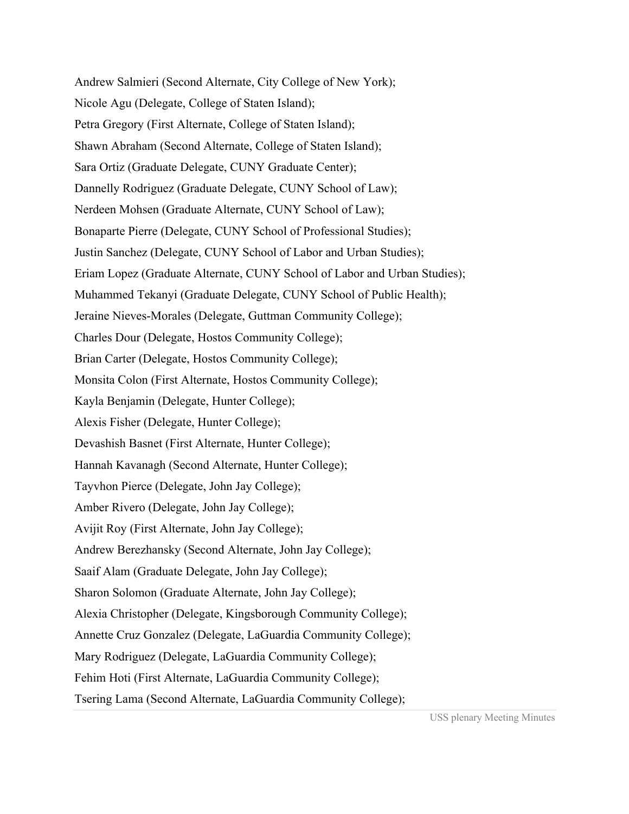Andrew Salmieri (Second Alternate, City College of New York); Nicole Agu (Delegate, College of Staten Island); Petra Gregory (First Alternate, College of Staten Island); Shawn Abraham (Second Alternate, College of Staten Island); Sara Ortiz (Graduate Delegate, CUNY Graduate Center); Dannelly Rodriguez (Graduate Delegate, CUNY School of Law); Nerdeen Mohsen (Graduate Alternate, CUNY School of Law); Bonaparte Pierre (Delegate, CUNY School of Professional Studies); Justin Sanchez (Delegate, CUNY School of Labor and Urban Studies); Eriam Lopez (Graduate Alternate, CUNY School of Labor and Urban Studies); Muhammed Tekanyi (Graduate Delegate, CUNY School of Public Health); Jeraine Nieves-Morales (Delegate, Guttman Community College); Charles Dour (Delegate, Hostos Community College); Brian Carter (Delegate, Hostos Community College); Monsita Colon (First Alternate, Hostos Community College); Kayla Benjamin (Delegate, Hunter College); Alexis Fisher (Delegate, Hunter College); Devashish Basnet (First Alternate, Hunter College); Hannah Kavanagh (Second Alternate, Hunter College); Tayvhon Pierce (Delegate, John Jay College); Amber Rivero (Delegate, John Jay College); Avijit Roy (First Alternate, John Jay College); Andrew Berezhansky (Second Alternate, John Jay College); Saaif Alam (Graduate Delegate, John Jay College); Sharon Solomon (Graduate Alternate, John Jay College); Alexia Christopher (Delegate, Kingsborough Community College); Annette Cruz Gonzalez (Delegate, LaGuardia Community College); Mary Rodriguez (Delegate, LaGuardia Community College); Fehim Hoti (First Alternate, LaGuardia Community College); Tsering Lama (Second Alternate, LaGuardia Community College);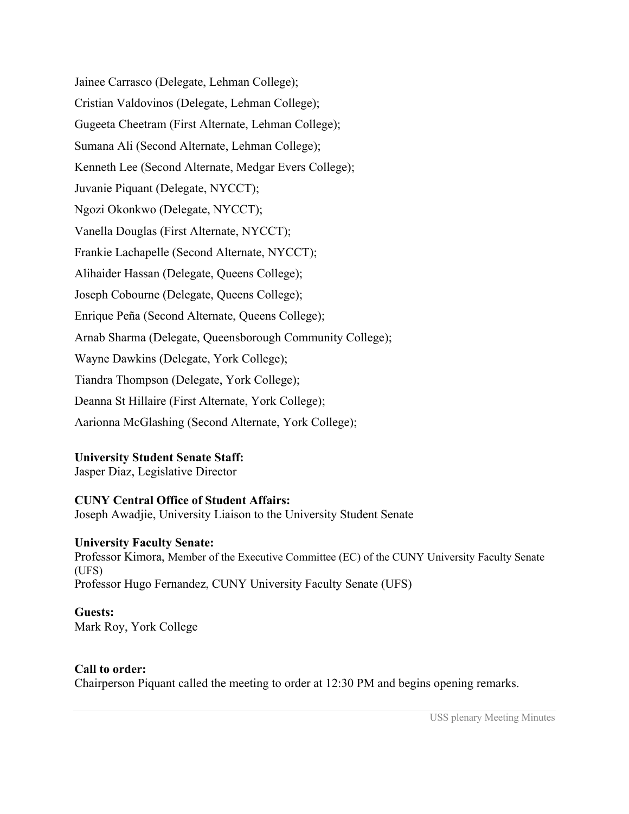Jainee Carrasco (Delegate, Lehman College); Cristian Valdovinos (Delegate, Lehman College); Gugeeta Cheetram (First Alternate, Lehman College); Sumana Ali (Second Alternate, Lehman College); Kenneth Lee (Second Alternate, Medgar Evers College); Juvanie Piquant (Delegate, NYCCT); Ngozi Okonkwo (Delegate, NYCCT); Vanella Douglas (First Alternate, NYCCT); Frankie Lachapelle (Second Alternate, NYCCT); Alihaider Hassan (Delegate, Queens College); Joseph Cobourne (Delegate, Queens College); Enrique Peña (Second Alternate, Queens College); Arnab Sharma (Delegate, Queensborough Community College); Wayne Dawkins (Delegate, York College); Tiandra Thompson (Delegate, York College); Deanna St Hillaire (First Alternate, York College); Aarionna McGlashing (Second Alternate, York College);

## **University Student Senate Staff:**

Jasper Diaz, Legislative Director

## **CUNY Central Office of Student Affairs:**

Joseph Awadjie, University Liaison to the University Student Senate

#### **University Faculty Senate:**

Professor Kimora, Member of the Executive Committee (EC) of the CUNY University Faculty Senate (UFS) Professor Hugo Fernandez, CUNY University Faculty Senate (UFS)

## **Guests:**

Mark Roy, York College

## **Call to order:**

Chairperson Piquant called the meeting to order at 12:30 PM and begins opening remarks.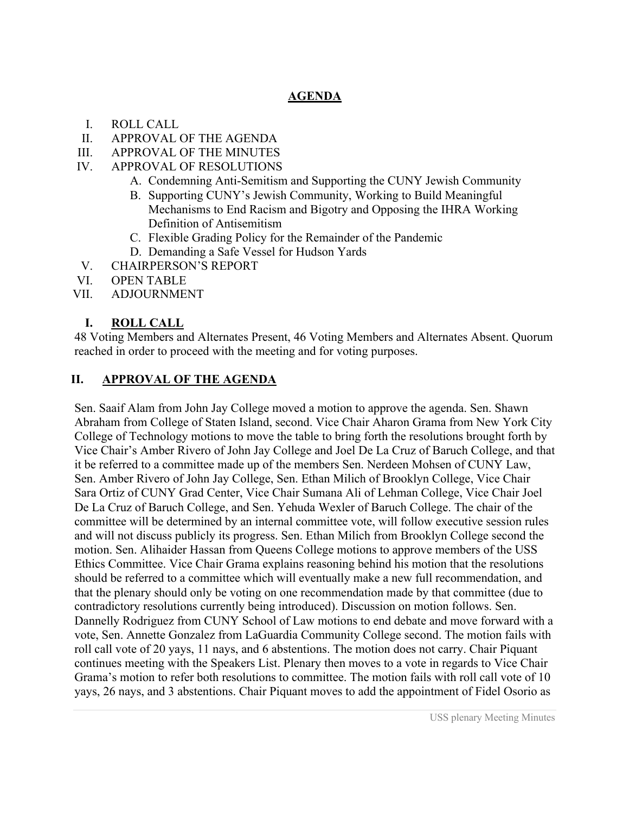## **AGENDA**

- I. ROLL CALL
- II. APPROVAL OF THE AGENDA
- III. APPROVAL OF THE MINUTES
- IV. APPROVAL OF RESOLUTIONS
	- A. Condemning Anti-Semitism and Supporting the CUNY Jewish Community
	- B. Supporting CUNY's Jewish Community, Working to Build Meaningful Mechanisms to End Racism and Bigotry and Opposing the IHRA Working Definition of Antisemitism
	- C. Flexible Grading Policy for the Remainder of the Pandemic
	- D. Demanding a Safe Vessel for Hudson Yards
- V. CHAIRPERSON'S REPORT
- VI. OPEN TABLE
- VII. ADJOURNMENT

## **I. ROLL CALL**

48 Voting Members and Alternates Present, 46 Voting Members and Alternates Absent. Quorum reached in order to proceed with the meeting and for voting purposes.

## **II. APPROVAL OF THE AGENDA**

Sen. Saaif Alam from John Jay College moved a motion to approve the agenda. Sen. Shawn Abraham from College of Staten Island, second. Vice Chair Aharon Grama from New York City College of Technology motions to move the table to bring forth the resolutions brought forth by Vice Chair's Amber Rivero of John Jay College and Joel De La Cruz of Baruch College, and that it be referred to a committee made up of the members Sen. Nerdeen Mohsen of CUNY Law, Sen. Amber Rivero of John Jay College, Sen. Ethan Milich of Brooklyn College, Vice Chair Sara Ortiz of CUNY Grad Center, Vice Chair Sumana Ali of Lehman College, Vice Chair Joel De La Cruz of Baruch College, and Sen. Yehuda Wexler of Baruch College. The chair of the committee will be determined by an internal committee vote, will follow executive session rules and will not discuss publicly its progress. Sen. Ethan Milich from Brooklyn College second the motion. Sen. Alihaider Hassan from Queens College motions to approve members of the USS Ethics Committee. Vice Chair Grama explains reasoning behind his motion that the resolutions should be referred to a committee which will eventually make a new full recommendation, and that the plenary should only be voting on one recommendation made by that committee (due to contradictory resolutions currently being introduced). Discussion on motion follows. Sen. Dannelly Rodriguez from CUNY School of Law motions to end debate and move forward with a vote, Sen. Annette Gonzalez from LaGuardia Community College second. The motion fails with roll call vote of 20 yays, 11 nays, and 6 abstentions. The motion does not carry. Chair Piquant continues meeting with the Speakers List. Plenary then moves to a vote in regards to Vice Chair Grama's motion to refer both resolutions to committee. The motion fails with roll call vote of 10 yays, 26 nays, and 3 abstentions. Chair Piquant moves to add the appointment of Fidel Osorio as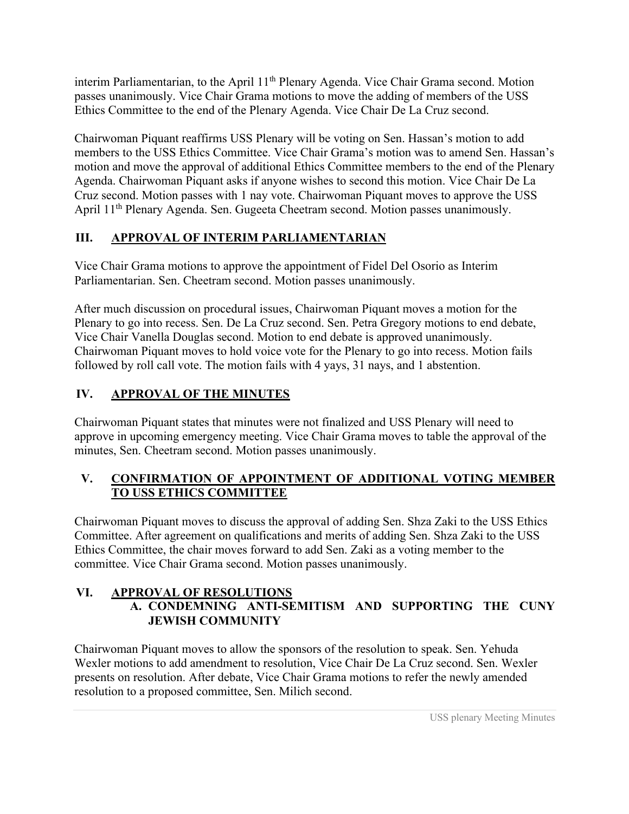interim Parliamentarian, to the April 11<sup>th</sup> Plenary Agenda. Vice Chair Grama second. Motion passes unanimously. Vice Chair Grama motions to move the adding of members of the USS Ethics Committee to the end of the Plenary Agenda. Vice Chair De La Cruz second.

Chairwoman Piquant reaffirms USS Plenary will be voting on Sen. Hassan's motion to add members to the USS Ethics Committee. Vice Chair Grama's motion was to amend Sen. Hassan's motion and move the approval of additional Ethics Committee members to the end of the Plenary Agenda. Chairwoman Piquant asks if anyone wishes to second this motion. Vice Chair De La Cruz second. Motion passes with 1 nay vote. Chairwoman Piquant moves to approve the USS April 11th Plenary Agenda. Sen. Gugeeta Cheetram second. Motion passes unanimously.

## **III. APPROVAL OF INTERIM PARLIAMENTARIAN**

Vice Chair Grama motions to approve the appointment of Fidel Del Osorio as Interim Parliamentarian. Sen. Cheetram second. Motion passes unanimously.

After much discussion on procedural issues, Chairwoman Piquant moves a motion for the Plenary to go into recess. Sen. De La Cruz second. Sen. Petra Gregory motions to end debate, Vice Chair Vanella Douglas second. Motion to end debate is approved unanimously. Chairwoman Piquant moves to hold voice vote for the Plenary to go into recess. Motion fails followed by roll call vote. The motion fails with 4 yays, 31 nays, and 1 abstention.

# **IV. APPROVAL OF THE MINUTES**

Chairwoman Piquant states that minutes were not finalized and USS Plenary will need to approve in upcoming emergency meeting. Vice Chair Grama moves to table the approval of the minutes, Sen. Cheetram second. Motion passes unanimously.

## **V. CONFIRMATION OF APPOINTMENT OF ADDITIONAL VOTING MEMBER TO USS ETHICS COMMITTEE**

Chairwoman Piquant moves to discuss the approval of adding Sen. Shza Zaki to the USS Ethics Committee. After agreement on qualifications and merits of adding Sen. Shza Zaki to the USS Ethics Committee, the chair moves forward to add Sen. Zaki as a voting member to the committee. Vice Chair Grama second. Motion passes unanimously.

## **VI. APPROVAL OF RESOLUTIONS A. CONDEMNING ANTI-SEMITISM AND SUPPORTING THE CUNY JEWISH COMMUNITY**

Chairwoman Piquant moves to allow the sponsors of the resolution to speak. Sen. Yehuda Wexler motions to add amendment to resolution, Vice Chair De La Cruz second. Sen. Wexler presents on resolution. After debate, Vice Chair Grama motions to refer the newly amended resolution to a proposed committee, Sen. Milich second.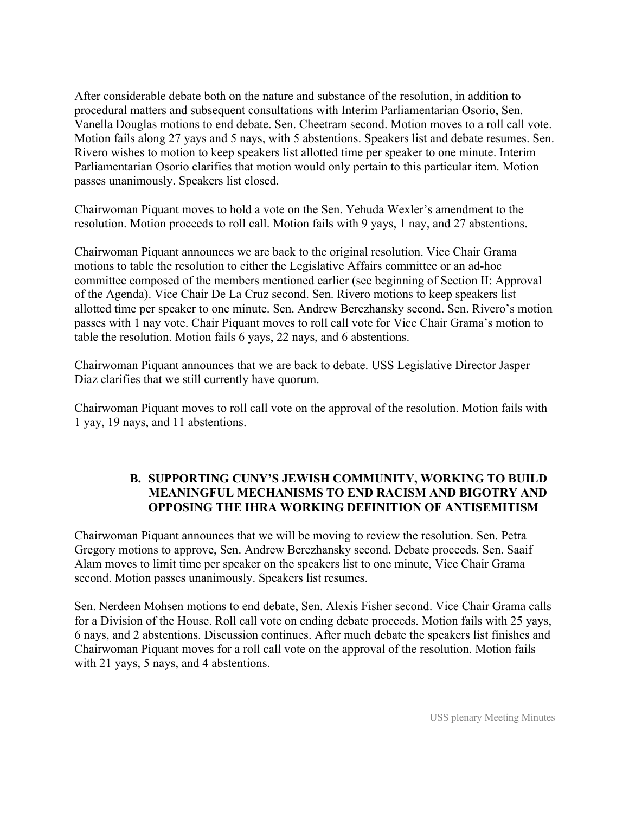After considerable debate both on the nature and substance of the resolution, in addition to procedural matters and subsequent consultations with Interim Parliamentarian Osorio, Sen. Vanella Douglas motions to end debate. Sen. Cheetram second. Motion moves to a roll call vote. Motion fails along 27 yays and 5 nays, with 5 abstentions. Speakers list and debate resumes. Sen. Rivero wishes to motion to keep speakers list allotted time per speaker to one minute. Interim Parliamentarian Osorio clarifies that motion would only pertain to this particular item. Motion passes unanimously. Speakers list closed.

Chairwoman Piquant moves to hold a vote on the Sen. Yehuda Wexler's amendment to the resolution. Motion proceeds to roll call. Motion fails with 9 yays, 1 nay, and 27 abstentions.

Chairwoman Piquant announces we are back to the original resolution. Vice Chair Grama motions to table the resolution to either the Legislative Affairs committee or an ad-hoc committee composed of the members mentioned earlier (see beginning of Section II: Approval of the Agenda). Vice Chair De La Cruz second. Sen. Rivero motions to keep speakers list allotted time per speaker to one minute. Sen. Andrew Berezhansky second. Sen. Rivero's motion passes with 1 nay vote. Chair Piquant moves to roll call vote for Vice Chair Grama's motion to table the resolution. Motion fails 6 yays, 22 nays, and 6 abstentions.

Chairwoman Piquant announces that we are back to debate. USS Legislative Director Jasper Diaz clarifies that we still currently have quorum.

Chairwoman Piquant moves to roll call vote on the approval of the resolution. Motion fails with 1 yay, 19 nays, and 11 abstentions.

## **B. SUPPORTING CUNY'S JEWISH COMMUNITY, WORKING TO BUILD MEANINGFUL MECHANISMS TO END RACISM AND BIGOTRY AND OPPOSING THE IHRA WORKING DEFINITION OF ANTISEMITISM**

Chairwoman Piquant announces that we will be moving to review the resolution. Sen. Petra Gregory motions to approve, Sen. Andrew Berezhansky second. Debate proceeds. Sen. Saaif Alam moves to limit time per speaker on the speakers list to one minute, Vice Chair Grama second. Motion passes unanimously. Speakers list resumes.

Sen. Nerdeen Mohsen motions to end debate, Sen. Alexis Fisher second. Vice Chair Grama calls for a Division of the House. Roll call vote on ending debate proceeds. Motion fails with 25 yays, 6 nays, and 2 abstentions. Discussion continues. After much debate the speakers list finishes and Chairwoman Piquant moves for a roll call vote on the approval of the resolution. Motion fails with 21 yays, 5 nays, and 4 abstentions.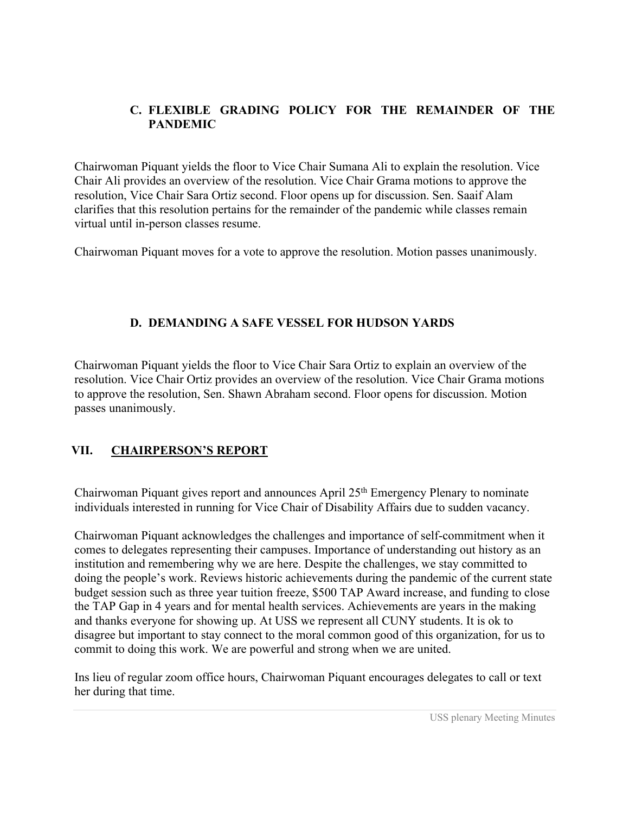## **C. FLEXIBLE GRADING POLICY FOR THE REMAINDER OF THE PANDEMIC**

Chairwoman Piquant yields the floor to Vice Chair Sumana Ali to explain the resolution. Vice Chair Ali provides an overview of the resolution. Vice Chair Grama motions to approve the resolution, Vice Chair Sara Ortiz second. Floor opens up for discussion. Sen. Saaif Alam clarifies that this resolution pertains for the remainder of the pandemic while classes remain virtual until in-person classes resume.

Chairwoman Piquant moves for a vote to approve the resolution. Motion passes unanimously.

## **D. DEMANDING A SAFE VESSEL FOR HUDSON YARDS**

Chairwoman Piquant yields the floor to Vice Chair Sara Ortiz to explain an overview of the resolution. Vice Chair Ortiz provides an overview of the resolution. Vice Chair Grama motions to approve the resolution, Sen. Shawn Abraham second. Floor opens for discussion. Motion passes unanimously.

## **VII. CHAIRPERSON'S REPORT**

Chairwoman Piquant gives report and announces April 25<sup>th</sup> Emergency Plenary to nominate individuals interested in running for Vice Chair of Disability Affairs due to sudden vacancy.

Chairwoman Piquant acknowledges the challenges and importance of self-commitment when it comes to delegates representing their campuses. Importance of understanding out history as an institution and remembering why we are here. Despite the challenges, we stay committed to doing the people's work. Reviews historic achievements during the pandemic of the current state budget session such as three year tuition freeze, \$500 TAP Award increase, and funding to close the TAP Gap in 4 years and for mental health services. Achievements are years in the making and thanks everyone for showing up. At USS we represent all CUNY students. It is ok to disagree but important to stay connect to the moral common good of this organization, for us to commit to doing this work. We are powerful and strong when we are united.

Ins lieu of regular zoom office hours, Chairwoman Piquant encourages delegates to call or text her during that time.